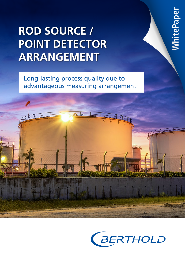# **ROD SOURCE / POINT DETECTOR ARRANGEMENT**

Long-lasting process quality due to advantageous measuring arrangement



**WhitePaper**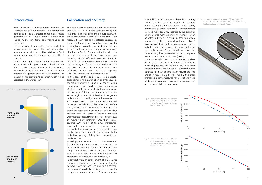



*Fig. 2 Optimal characteristic curve (dashed blue) compared to the characteristic curve using a point source and a rod detector (solid red).*

*Fig. 3 Optimal characteristic curve (dashed blue) congruent with characteristic curve using a rod source and a point detector (solid red).*

*Fig. 4 Rod source casing with internal guide rod coiled with activated Co-60 wire. For illustrative purposes, the casing has been cut open in the detail image.* 



When planning a radiometric measurement, the technical design is fundamental. It is created and developed based on process conditions, process geometry, customer input as well as local background radiation, site conditions, and mounting space limitations.

For the design of radiometric level or bulk flow measurements, a choice must be made between two arrangements: a point source with a rod detector (Fig. 1 top), or a rod source and a point detector (Fig. 1 bottom).

Due to the slightly lower purchase price, the arrangement with a point source and rod detector is frequently selected. However, the rod source (especially using Cobalt-60 (Co-60)) and point detector arrangement offers decisive advantages in measurement quality during operation, which will be addressed in this whitepaper.

The advantages in calibration and measurement accuracy are explained here using the example of level measurements. Since the product attenuates the gamma radiation coming from the source, the measured count rate at the detector decreases as the level in the vessel increases. In an ideal case, the relationship between the measured count rate and the level in the vessel is inversely linear (see dashed blue line in Fig. 2). During calibration when the measurement is commissioned, typically only a twopoint calibration is performed, measuring the amount of gamma radiation seen by the detector while the vessel is empty and full. To calculate level in between any calibration points, the software assumes a linear relationship of count rate at the detector to process level. This results in a linear calibration curve.

Introduction **Calibration and accuracy point calibration accurate across the entire measuring** range. To achieve this linear relationship, Berthold manufactures Co-60 rod sources with activity distributions specifically designed for the measurement task and vessel geometry specified by the customer. During source manufacturing, the winding of an activated Co-60 wire is distributed either more widely or more tightly along an internal guide rod (see Fig. 4) to compensate for a shorter or longer path of gamma radiation, respectively, through the vessel and vessel walls to the detector. The resulting characteristic curve shows a strictly linear progression and thus corresponds to the optimal characteristic curve (see Fig. 3).





In the case of the point source/rod detector arrangement, this assumption is erroneous, as the actual relationship is nonlinear, and the actual characteristic curve is arched (solid red line in Fig. 2). This is due to the geometry of this measurement arrangement. Point sources are usually mounted at the height of the 100% level, and the gamma radiation is collimated by the shield to come out at a 45° angle (see Fig. 1 top). Consequently, the path of the gamma radiation to the lower portion of the vessel, respectively of the rod detector, is longer than that to the upper part. In addition, due to the oblique radiation in the lower portion of the vessel, the vessel wall thickness effectively increases. As shown in Fig. 2, this results in a low sensitivity at 0%, which increases towards 100%. As a result, the actual characteristic curve for this arrangement is arched, and accuracy in the middle level range suffers with a standard twopoint calibration and assumed linearity. Frequently, the desired control range of the process is located in this middle section.

Accordingly, a multi-point calibration is recommended for this arrangement to compensate for the measurement deviations shown in the middle level range. Very often, however, this measurement deviation is accepted and ignored since the repeatability of the results is not affected by it.

In contrast, with an arrangement of a Co-60 rod source and a point detector, a linear relationship between count rate and level and thus a constant measurement sensitivity can be achieved over the complete measurement range. This makes a twoFrom this strictly linear characteristic curve, clear advantages can be gained in terms of calibration and measuring accuracy. On the one hand, a two-point calibration (empty and full state) is sufficient during commissioning, which considerably reduces the time and effort required. On the other hand, with a linear characteristic curve, measured value deviations in the medium level range are eliminated, resulting in a more accurate and reliable measurement.

Count rate at detector [cps]

Count rate at detector [cps]

 $\overline{c}$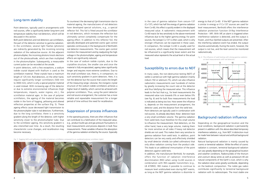### Long-term stability

Point detectors, typically used in arrangements with rod sources, offer a significantly better long-term and temperature stability than rod detectors, which will be discussed in this section.

Both point detectors and rod detectors use scintillators, the part of the detector sensitive to gamma radiation. In the scintillator, several light flashes (photons) are indirectly generated by the incoming ionizing radiation of the radioactive source. At the adjacent photomultiplier, the incoming photons knock electrons out of the photocathode, which are then multiplied in the photomultiplier. Subsequently, a measurable current pulse can be recorded at the anode.



*Fig. 6 The influence of weld testing with strong gamma radiation on level measurements with rod detectors*

In point detectors, with a few exceptions, a sodium iodide crystal doped with thallium is used as the scintillation material. These crystals have a maximum length of 125 mm. Rod detectors, on the other hand, require significantly longer scintillators (500 mm to 3000 mm), which is why a special polymer material is used instead. With increasing age of the detector or due to extreme environmental influences (high temperatures, impacts, water ingress, etc.), the scintillation material ages. In the case of polymer scintillators, the ageing of the material becomes visible in the form of fogging, yellowing and altered reflection properties at the surface (Fig. 5). These ageing effects cause decreased light transmission to the photomultiplier tube in rod detectors. Furthermore, due to the long scintillator, there is a sensitivity gradient along the length of the detector, with higher sensitivity closer to the photomultiplier tube. Due to the scintillator ageing, this sensitivity gradient is also intensified over time. As a result, the resulting characteristic curve changes, and recalibration may become necessary.

*Fig. 5 Fogging (left) and yellowing (middle) of polymer scintillators compared to an unaltered polymer scintillator (right)*



To counteract the decreasing light transmission due to material ageing, the manufacturers of rod detectors have developed special solutions, e.g., a special reflector foil. This foil is fitted around the scintillator in rod detectors, which increases the reflection but ultimately cannot completely compensate for the ageing effect. In addition to this reflector foil, the specially developed and patented cosmic gain control operates continuously in the background of Berthold's rod detector measurements. The cosmic gain control monitors the measurement and by readjusting the high voltage in the photomultiplier, ageing and temperature effects are significantly reduced.

In the case of sodium iodide crystals, due to the crystalline structure, the smaller size and since the material is fully encapsulated, ageing takes significantly longer and requires more extreme conditions. Due to the small scintillator size, there is, in comparison, no such sensitivity gradient in point detectors. Here, it is not the detector but the source that covers the length of the measuring range. Likewise, the inorganic crystal structure of the sodium iodide scintillators achieves a higher level of stability, which cannot be achieved with polymer scintillators. Thus, using the point detector and rod source arrangement, the customer has a more reliable and repeatable measurement for a longer period of time without the need for recalibration.

### Suppression of process influences

### Susceptibility to errors due to NDT

In the operating process, there are often influences that can contribute to a falsification of the measured value, e.g., product build-ups and gas pressure fluctuations in level measurements and process deposits in bulk flow measurements. These variables influence the absorption of the gamma radiation emitted by the source. Especially

Fill level seems to drop Fill level seems to rise In many cases, the non-destructive testing (NDT) of welds is carried out with high gamma radiation (mainly iridium-192 or selenium-75), which can also influence radiometric measurements over hundreds of metres by greatly increasing the count rate at the detector and thus falsifying the measured value. This influence leads to the fact that e.g., for level measurements the measured value runs towards 0% or even below 0% (see Fig. 6) and for bulk flow measurements the load is indicated as being too low. How severe the influence is, depends on the measurement arrangement, the detector used, and the distance from the weld test. Point detectors are typically used in combination with rod sources. As already described, these detectors have a very small scintillator volume. The gamma radiation from weld tests must therefore hit this small volume to influence the measurement. Rod detectors, on the other hand, have a very large volume, making them far more sensitive on all sides if heavy rod detector shields are not used. This makes them very sensitive to gamma radiation from weld tests. In addition, point detectors can be very easily and effectively shielded by small detector shields (so-called collimators) that only allow radiation coming from the product side. This leads to an additional immunisation of the point detectors against weld tests. Depending on the geographical location and the local conditions, background radiation is permanently present in addition with the above-described temporary interference radiation, e.g., from NDT. A distinction must be made here between natural and artificial background radiation. Natural background radiation is mainly caused by cosmic or terrestrial radiation. While the effect of cosmic radiation is constant, terrestrial background radiation can vary greatly depending on the geographical location  $\frac{\text{S}}{\text{S}}$  and  $\frac{\text{S}}{\text{S}}$  and  $\frac{\text{S}}{\text{S}}$  and  $\frac{\text{S}}{\text{S}}$  and  $\frac{\text{S}}{\text{S}}$  and  $\frac{\text{S}}{\text{S}}$  and  $\frac{\text{S}}{\text{S}}$  and  $\frac{\text{S}}{\text{S}}$  and  $\frac{\text{S}}{\text{S}}$  and  $\frac{\text{S}}{\text{S}}$  and  $\frac{\text{S}}{\text{S}}$  and  $\frac{\text{S}}{\text{S$ Time [min]

energy to that of Co-60. If the NDT gamma radiation is similar in energy or if Cs-137 sources are used for level measurement, Berthold offers the interference radiation protection function (X-Ray Interference Protection - XIP). With XIP, an alarm is triggered when interference radiation is detected, and the output is frozen, and thus falsified outputs are prevented. After the interfering radiation event has ended, the output resumes automatically. During the event, however, the output is not live, and the level cannot be monitored radiometrically.

In addition, the manufacturer Berthold, for example, offers the function of radiation interference discrimination (RID) when using Co-60 sources in combination with RID-capable transmitters (e.g., LB 470RID). RID makes it possible to continue to measure level undisturbed even during NDT events, as long as the NDT gamma radiation is dissimilar in and weather conditions. Radionuclides of the thorium and uranium decay series as well as potassium-40 are natural components of the Earth's crust, which is why the radiation dose varies greatly worldwide, depending on the bedrock composition. The noble gas radon contributes significantly to terrestrial background radiation with its radioisotopes. The most stable one

in the case of gamma radiation from cesium-137 (Cs-137), which has half the energy of gamma radiation from Co-60, this effect is quickly evident in the displayed measured value. A radiometric measurement with Co-60 reacts far less sensitively to the above-mentioned influences due to the higher gamma energy. For point sources, the isotope Cs-137 is often used, which is why stronger influences can be expected in these cases. In comparison, the isotope Co-60 is usually used for rod sources, which means that the measurement will be influenced to a significantly lesser extent and the measured value represents the actual level or the actual load.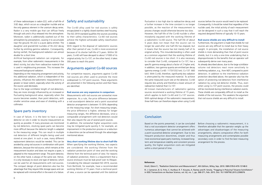In case of failure, it is the best to have a spare detector on site in order to resume measurement as quickly as possible. If many processes are monitored by rod detectors, stocking spare parts can become more difficult because the detector length is adapted to the measuring range. This can result in multiple rod detectors of different lengths being used and stored at one plant. In such a case, many different replacement detectors would be needed. This can be avoided by using rod sources in combination with point detectors, because the rod source, which remains at the measurement location and does not require a spare, is adapted to the measurement range. The point detector, on the other hand, is always of the same size. Hence, it is only necessary to stock one type of detector, which can be used for all measurements with rod sources. The compact design of point detectors also has the advantage that they require little storage space and can be replaced with minimal effort in the event of a failure.

The Co-60 alloy used for rod sources is safely encapsulated in a tightly closed stainless steel housing. The ISO 2919 standard qualifies the sources according to their safety characteristics. Co-60 rod sources achieve the highest achievable safety classification C-66646.

With regard to the disposal of radiometric sources after their period of use, Co-60 is more economical because of its shorter half-life of 5 years. Within 50 years, Co-60 will have decayed to about 1/1000 of its original activity. For Cs-137, on the other hand, it takes 300 years to reach this point.

For competitive reasons, arguments against Co-60 rod sources are often used to promote the more widespread Cs-137 point sources. These arguments are presented in the following section and their flaws are identified.

#### **Rod sources are very expensive in comparison**

Measurements with rod sources are somewhat more expensive. As a rule, the price difference between a rod source/point detector and a point source/rod detector arrangement is between 15-30% depending on the measuring range. For short measuring ranges, the price difference is higher, whereas for longer measuring ranges, the difference decreases, since a comparable arrangement with rod detectors would then also require the use of several point sources. In addition, the somewhat higher acquisition costs may be mitigated quite quickly if, for example, an improvement in the production process or a reduction in downtime can be achieved through the advantages mentioned above.

#### **Very short working lifetime due to short half-life**

When specifying the working lifetime, two aspects are considered: the working lifetime from the radiation protection point of view and the working lifetime from the technical point of view. For reasons of radiation protection, there is a requirement that a source enclosure must be leak-proof over its lifespan. Considering the relevant standard ISO 2919, sources from Berthold, for example, have a recommended working lifetime of 15 years. From a technical point of view, a source can be operated until the statistical

### Spare parts inventory

#### Safety and sustainability

#### Arguments against Co-60 sources

fluctuation is too high due to radioactive decay and a further increase in the time constant is no longer possible, as the reaction of the measurement to process changes would otherwise become too slow. However, the half-life of the Co-60 nuclide is often mistakenly equated with the working lifetime of a radiometric Co-60 source. The half-life of about 5 years does not mean that the source can no longer be used after one half-life has elapsed, but it means that the source has lost merely half of its original activity. This misunderstanding is often used as a common argument that the working lifetime of Co-60 rod sources is too short. It is also necessary to consider that Co-60, compared to Cs-137, has a specific gamma energy about a factor of 2 higher and, in addition, two gamma quanta are emitted per decay (gamma energy Co-60: 1173/1332 keV; Cs-137: 660 keV). With Co-60, therefore, significantly less radiation is attenuated by the measured material. To achieve the same measured count rate at the detector, Co-60 requires less activity and therefore a lower amount of radioactive material than Cs-137.

All known manufacturers of radiometric gamma sources recommend a working lifetime of 15 years, which applies to both Co-60 and Cs-137 sources. With optimal design of the radiometric measurement, three half-lives can therefore elapse when using Co-60

#### **Conclusion**

of these radioisotopes is radon-222, with a half-life of 3.82 days, which occurs as a daughter nuclide and as the only gaseous element in the uranium decay series. Radon is a very mobile gas that can diffuse freely through soils and is thus released into the atmosphere. Moreover, radon is additionally washed out of the atmosphere by precipitation, causing it to accumulate near the ground. Rn-222 is a pure alpha emitter. The daughter and grandchild nuclides of Rn-222 decay further by emitting gamma radiation. Consequently, during rainfall, the background radiation can almost double for a short time.

Artificial background radiation can originate, for example, from other radiometric measurements in the direct vicinity, but also from radioactive material that is used in neighbouring processes. This increases the measured background radiation.

Depending on the measuring arrangement and activity, this additional radiation, which is independent of the process, influences the radiometric measurement to a greater or lesser extent, especially when the activity of the source used decreases.

Due to the large scintillator length of rod detectors, they are more strongly influenced by an increased or fluctuating background value, especially when the source becomes weaker, than point detectors, with smaller sensitive areas and ease of shielding with a collimator.

sources before the source would need to be replaced. Consequently, it should be noted that regardless of the nuclide used, the initial activity of each measurement can be designed in such a way that it will reach the required designed lifetime of typically 10-15 years.

#### **Rod source shields are very difficult to install**

Furthermore, the argument is made that shields for rod sources are very difficult to install due to their heavy weight. In principle, the installation of rod source shields is more demanding than that of point source shields, but it is only a one-time undertaking that is disproportionate to the benefits that an operator will subsequently derive over many years.

As already described above, due to the large scintillator volume rod detectors react more sensitively to interfering radiation, e.g., from NDT, compared to point detectors. In addition to the interference radiation protection described above, the operator also has the option of protecting rod detectors from interference radiation by using rod detector shields. Thus, even when using Cs-137 point sources, the process could still be monitored during interference radiation events. These shields are comparably difficult to install as the shields of the rod sources. This weakens the argument that rod source shields are very difficult to install.

#### **References**

Knoll, Glenn F., "Radiation Detection and Measurement", 4th Edition, Wiley, Sep. 2010. ISBN 978-0-470-13148-0 R. J. Cameron, B. G. Fritz, C. Hurlbut, R. T. Kouzes, A. Ramey and R. Smola, "Fogging in Polyvinyl Toluene Scintillators" in IEEE Transactions on Nuclear Science, vol. 62, no. 1, pp. 368-371, Feb. 2015. Doi: 10.1109/TNS.2015.2390076

Based on the points presented, it can be concluded that a rod source/point detector arrangement offers numerous advantages that cannot be achieved with a point source/rod detector arrangement. Due to less frequent production downtimes, simpler and thus more economical spare parts inventory, increased longterm and temperature stability and consistent process quality, the higher acquisition costs are mitigated within a short period of time. Before choosing a radiometric measurement, it is therefore advisable that the operator weighs up the advantages and disadvantages of the measuring arrangements, obtains comparative offers for both measuring arrangements and contemplates possible secondary costs in order to find the best measuring arrangement for the process.